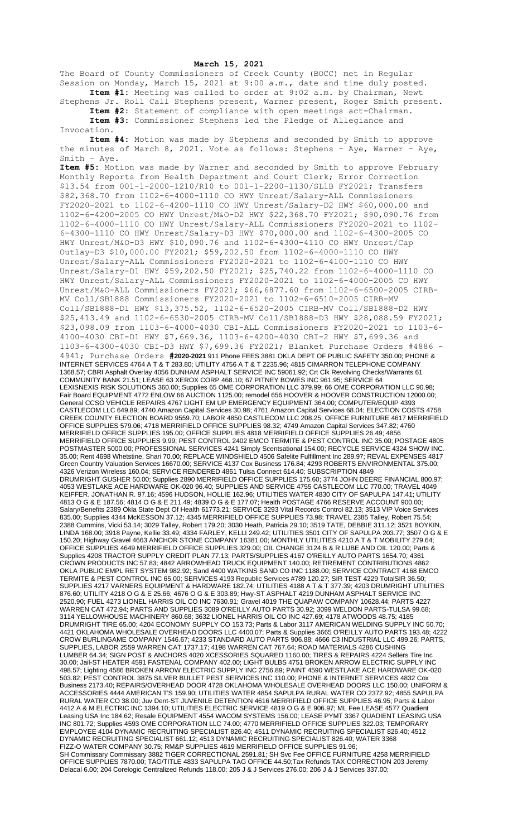## **March 15, 2021**

The Board of County Commissioners of Creek County (BOCC) met in Regular Session on Monday, March 15, 2021 at 9:00 a.m., date and time duly posted. **Item #1:** Meeting was called to order at 9:02 a.m. by Chairman, Newt

Stephens Jr. Roll Call Stephens present, Warner present, Roger Smith present. **Item #2:** Statement of compliance with open meetings act-Chairman. **Item #3:** Commissioner Stephens led the Pledge of Allegiance and

Invocation.

**Item #4:** Motion was made by Stephens and seconded by Smith to approve the minutes of March 8, 2021. Vote as follows: Stephens – Aye, Warner – Aye, Smith – Aye.

**Item #5:** Motion was made by Warner and seconded by Smith to approve February Monthly Reports from Health Department and Court Clerk; Error Correction \$13.54 from 001-1-2000-1210/R10 to 001-1-2200-1130/SL1B FY2021; Transfers \$82,368.70 from 1102-6-4000-1110 CO HWY Unrest/Salary-ALL Commissioners FY2020-2021 to 1102-6-4200-1110 CO HWY Unrest/Salary-D2 HWY \$60,000.00 and 1102-6-4200-2005 CO HWY Unrest/M&O-D2 HWY \$22,368.70 FY2021; \$90,090.76 from 1102-6-4000-1110 CO HWY Unrest/Salary-ALL Commissioners FY2020-2021 to 1102- 6-4300-1110 CO HWY Unrest/Salary-D3 HWY \$70,000.00 and 1102-6-4300-2005 CO HWY Unrest/M&O-D3 HWY \$10,090.76 and 1102-6-4300-4110 CO HWY Unrest/Cap Outlay-D3 \$10,000.00 FY2021; \$59,202.50 from 1102-6-4000-1110 CO HWY Unrest/Salary-ALL Commissioners FY2020-2021 to 1102-6-4100-1110 CO HWY Unrest/Salary-D1 HWY \$59,202.50 FY2021; \$25,740.22 from 1102-6-4000-1110 CO HWY Unrest/Salary-ALL Commissioners FY2020-2021 to 1102-6-4000-2005 CO HWY Unrest/M&O-ALL Commissioners FY2021; \$66,6877.60 from 1102-6-6500-2005 CIRB-MV Coll/SB1888 Commissioners FY2020-2021 to 1102-6-6510-2005 CIRB-MV Coll/SB1888-D1 HWY \$13,375.52, 1102-6-6520-2005 CIRB-MV Coll/SB1888-D2 HWY \$25,413.49 and 1102-6-6530-2005 CIRB-MV Coll/SB1888-D3 HWY \$28,088.59 FY2021; \$23,098.09 from 1103-6-4000-4030 CBI-ALL Commissioners FY2020-2021 to 1103-6- 4100-4030 CBI-D1 HWY \$7,669.36, 1103-6-4200-4030 CBI-2 HWY \$7,699.36 and 1103-6-4300-4030 CBI-D3 HWY \$7,699.36 FY2021; Blanket Purchase Orders #4886 - 4941; Purchase Orders **#2020-2021** 911 Phone FEES 3881 OKLA DEPT OF PUBLIC SAFETY 350.00; PHONE & INTERNET SERVICES 4764 A T & T 283.80; UTILITY 4756 A T & T 2235.96; 4815 CIMARRON TELEPHONE COMPANY 1368.57; CBRI Asphalt Overlay 4056 DUNHAM ASPHALT SERVICE INC 59061.92; Crt Clk Revolving Checks/Warrants 61 COMMUNITY BANK 21.51; LEASE 63 XEROX CORP 468.10; 67 PITNEY BOWES INC 961.95; SERVICE 64 LEXISNEXIS RISK SOLUTIONS 360.00; Supplies 65 OME CORPORATION LLC 379.99; 66 OME CORPORATION LLC 90.98; Fair Board EQUIPMENT 4772 ENLOW 66 AUCTION 1125.00; remodel 656 HOOVER & HOOVER CONSTRUCTION 12000.00; General CCSO VEHICLE REPAIRS 4767 LIGHT EM UP EMERGENCY EQUIPMENT 364.00; COMPUTER/EQUIP 4393 CASTLECOM LLC 649.89; 4740 Amazon Capital Services 30.98; 4761 Amazon Capital Services 68.04; ELECTION COSTS 4758 CREEK COUNTY ELECTION BOARD 9559.70; LABOR 4850 CASTLECOM LLC 208.25; OFFICE FURNITURE 4617 MERRIFIELD OFFICE SUPPLIES 579.06; 4718 MERRIFIELD OFFICE SUPPLIES 98.32; 4749 Amazon Capital Services 347.82; 4760 MERRIFIELD OFFICE SUPPLIES 195.00; OFFICE SUPPLIES 4818 MERRIFIELD OFFICE SUPPLIES 26.49; 4856 MERRIFIELD OFFICE SUPPLIES 9.99; PEST CONTROL 2402 EMCO TERMITE & PEST CONTROL INC 35.00; POSTAGE 4805 POSTMASTER 5000.00; PROFESSIONAL SERVICES 4241 Simply Scentsational 154.00; RECYCLE SERVICE 4324 SHOW INC. 35.00; Rent 4698 Whetstine, Shari 70.00; REPLACE WINDSHIELD 4506 Safelite Fulfillment Inc 289.97; REVAL EXPENSES 4817 Green Country Valuation Services 16670.00; SERVICE 4137 Cox Business 176.84; 4293 ROBERTS ENVIRONMENTAL 375.00; 4326 Verizon Wireless 160.04; SERVICE RENDERED 4861 Tulsa Connect 614.40; SUBSCRIPTION 4849 DRUMRIGHT GUSHER 50.00; Supplies 2890 MERRIFIELD OFFICE SUPPLIES 175.60; 3774 JOHN DEERE FINANCIAL 800.97; 4053 WESTLAKE ACE HARDWARE OK-020 96.40; SUPPLIES AND SERVICE 4755 CASTLECOM LLC 770.00; TRAVEL 4049 KEIFFER, JONATHAN R. 97.16; 4596 HUDSON, HOLLIE 162.96; UTILITIES WATER 4830 CITY OF SAPULPA 147.41; UTILITY 4813 O G & E 187.56; 4814 O G & E 211.49; 4839 O G & E 177.07; Health POSTAGE 4766 RESERVE ACCOUNT 900.00; Salary/Benefits 2389 Okla State Dept Of Health 61773.21; SERVICE 3293 Vital Records Control 82.13; 3513 VIP Voice Services 835.00; Supplies 4344 McKESSON 37.12; 4345 MERRIFIELD OFFICE SUPPLIES 73.98; TRAVEL 2385 Talley, Robert 75.54; 2388 Cummins, Vicki 53.14; 3029 Talley, Robert 179.20; 3030 Heath, Patricia 29.10; 3519 TATE, DEBBIE 311.12; 3521 BOYKIN, LINDA 168.00; 3918 Payne, Kellie 33.49; 4334 FARLEY, KELLI 249.42; UTILITIES 3501 CITY OF SAPULPA 203.77; 3507 O G & E 150.20; Highway Gravel 4663 ANCHOR STONE COMPANY 16381.00; MONTHLY UTILITIES 4210 A T & T MOBILITY 279.64; OFFICE SUPPLIES 4649 MERRIFIELD OFFICE SUPPLIES 329.00; OIL CHANGE 3124 B & R LUBE AND OIL 120.00; Parts & Supplies 4208 TRACTOR SUPPLY CREDIT PLAN 77.13; PARTS/SUPPLIES 4167 O'REILLY AUTO PARTS 1654.70; 4361 CROWN PRODUCTS INC 57.83; 4842 ARROWHEAD TRUCK EQUIPMENT 140.00; RETIREMENT CONTRIBUTIONS 4862 OKLA PUBLIC EMPL RET SYSTEM 982.92; Sand 4400 WATKINS SAND CO INC 1188.00; SERVICE CONTRACT 4168 EMCO TERMITE & PEST CONTROL INC 65.00; SERVICES 4193 Republic Services #789 120.27; SIR TEST 4229 TotalSIR 36.50; SUPPLIES 4217 VARNERS EQUIPMENT & HARDWARE 182.74; UTILITIES 4188 A T & T 377.39; 4203 DRUMRIGHT UTILITIES 876.60; UTILITY 4218 O G & E 25.66; 4676 O G & E 303.89; Hwy-ST ASPHALT 4219 DUNHAM ASPHALT SERVICE INC 2520.90; FUEL 4273 LIONEL HARRIS OIL CO INC 7630.91; Gravel 4019 THE QUAPAW COMPANY 10628.44; PARTS 4227 WARREN CAT 472.94; PARTS AND SUPPLIES 3089 O'REILLY AUTO PARTS 30.92; 3099 WELDON PARTS-TULSA 99.68; 3114 YELLOWHOUSE MACHINERY 860.68; 3632 LIONEL HARRIS OIL CO INC 427.69; 4178 ATWOODS 48.75; 4185 DRUMRIGHT TIRE 65.00; 4204 ECONOMY SUPPLY CO 153.73; Parts & Labor 3117 AMERICAN WELDING SUPPLY INC 50.70; 4421 OKLAHOMA WHOLESALE OVERHEAD DOORS LLC 4400.07; Parts & Supplies 3665 O'REILLY AUTO PARTS 193.48; 4222 CROW BURLINGAME COMPANY 1546.67; 4233 STANDARD AUTO PARTS 906.88; 4666 C3 INDUSTRIAL LLC 499.26; PARTS, SUPPLIES, LABOR 2559 WARREN CAT 1737.17; 4198 WARREN CAT 767.64; ROAD MATERIALS 4286 CUSHING LUMBER 64.34; SIGN POST & ANCHORS 4020 XCESSORIES SQUARED 1160.00; TIRES & REPAIRS 4224 Sellers Tire Inc 30.00; Jail-ST HEATER 4591 FASTENAL COMPANY 402.00; LIGHT BULBS 4751 BROKEN ARROW ELECTRIC SUPPLY INC 498.57; Lighting 4586 BROKEN ARROW ELECTRIC SUPPLY INC 2756.89; PAINT 4590 WESTLAKE ACE HARDWARE OK-020 503.82; PEST CONTROL 3875 SILVER BULLET PEST SERVICES INC 110.00; PHONE & INTERNET SERVICES 4832 Cox Business 2173.40; REPAIRS/OVERHEAD DOOR 4728 OKLAHOMA WHOLESALE OVERHEAD DOORS LLC 150.00; UNIFORM & ACCESSORIES 4444 AMERICAN T'S 159.90; UTILITIES WATER 4854 SAPULPA RURAL WATER CO 2372.92; 4855 SAPULPA RURAL WATER CO 38.00; Juv Dent-ST JUVENILE DETENTION 4616 MERRIFIELD OFFICE SUPPLIES 46.95; Parts & Labor 4412 A & M ELECTRIC INC 1394.10; UTILITIES ELECTRIC SERVICE 4819 O G & E 906.97; ML Fee LEASE 4577 Quadient Leasing USA Inc 184.62; Resale EQUIPMENT 4554 WACOM SYSTEMS 156.00; LEASE PYMT 3367 QUADIENT LEASING USA INC 801.72; Supplies 4593 OME CORPORATION LLC 74.00; 4770 MERRIFIELD OFFICE SUPPLIES 322.03; TEMPORARY EMPLOYEE 4104 DYNAMIC RECRUITING SPECIALIST 826.40; 4511 DYNAMIC RECRUITING SPECIALIST 826.40; 4512 DYNAMIC RECRUITING SPECIALIST 661.12; 4513 DYNAMIC RECRUITING SPECIALIST 826.40; WATER 3368 FIZZ-O WATER COMPANY 30.75; RM&P SUPPLIES 4619 MERRIFIELD OFFICE SUPPLIES 91.96; SH Commissary Commissary 3882 TIGER CORRECTIONAL 2591.81; SH Svc Fee OFFICE FURNITURE 4258 MERRIFIELD OFFICE SUPPLIES 7870.00; TAG/TITLE 4833 SAPULPA TAG OFFICE 44.50;Tax Refunds TAX CORRECTION 203 Jeremy Delacal 6.00; 204 Corelogic Centralized Refunds 118.00; 205 J & J Services 276.00; 206 J & J Services 337.00;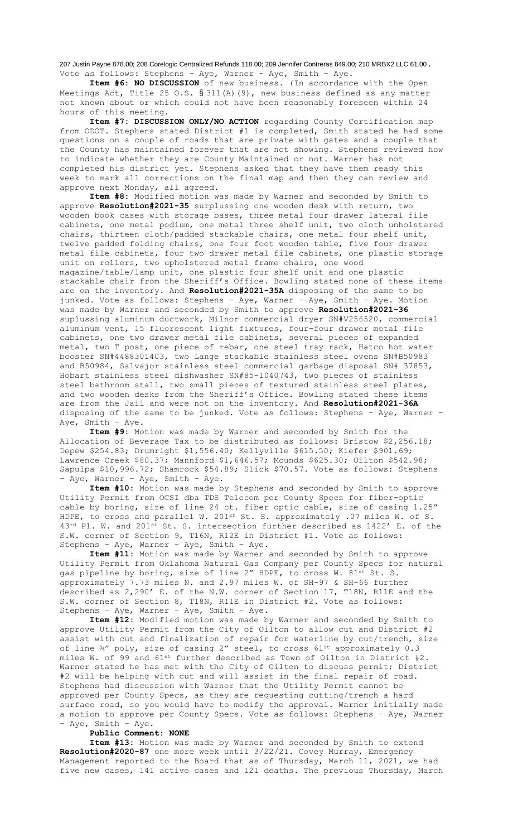207 Justin Payne 878.00; 208 Corelogic Centralized Refunds 118.00; 209 Jennifer Contreras 849.00; 210 MRBX2 LLC 61.00. Vote as follows: Stephens – Aye, Warner – Aye, Smith – Aye.

**Item #6: NO DISCUSSION** of new business. (In accordance with the Open Meetings Act, Title 25 O.S. § 311(A)(9), new business defined as any matter not known about or which could not have been reasonably foreseen within 24 hours of this meeting.

**Item #7: DISCUSSION ONLY/NO ACTION** regarding County Certification map from ODOT. Stephens stated District #1 is completed, Smith stated he had some questions on a couple of roads that are private with gates and a couple that the County has maintained forever that are not showing. Stephens reviewed how to indicate whether they are County Maintained or not. Warner has not completed his district yet. Stephens asked that they have them ready this week to mark all corrections on the final map and then they can review and approve next Monday, all agreed.

**Item #8:** Modified motion was made by Warner and seconded by Smith to approve **Resolution#2021-35** surplussing one wooden desk with return, two wooden book cases with storage bases, three metal four drawer lateral file cabinets, one metal podium, one metal three shelf unit, two cloth unholstered chairs, thirteen cloth/padded stackable chairs, one metal four shelf unit, twelve padded folding chairs, one four foot wooden table, five four drawer metal file cabinets, four two drawer metal file cabinets, one plastic storage unit on rollers, two upholstered metal frame chairs, one wood magazine/table/lamp unit, one plastic four shelf unit and one plastic stackable chair from the Sheriff's Office. Bowling stated none of these items are on the inventory. And **Resolution#2021-35A** disposing of the same to be junked. Vote as follows: Stephens – Aye, Warner – Aye, Smith – Aye. Motion was made by Warner and seconded by Smith to approve **Resolution#2021-36** suplussing aluminum ductwork, Milnor commercial dryer SN#V256520, commercial aluminum vent, 15 fluorescent light fixtures, four-four drawer metal file cabinets, one two drawer metal file cabinets, several pieces of expanded metal, two T post, one piece of rebar, one steel tray rack, Hatco hot water booster SN#4488301403, two Lange stackable stainless steel ovens SN#B50983 and B50984, Salvajor stainless steel commercial garbage disposal SN# 37853, Hobart stainless steel dishwasher SN#85-1040743, two pieces of stainless steel bathroom stall, two small pieces of textured stainless steel plates, and two wooden desks from the Sheriff's Office. Bowling stated these items are from the Jail and were not on the inventory. And **Resolution#2021-36A** disposing of the same to be junked. Vote as follows: Stephens – Aye, Warner – Aye, Smith – Aye.

**Item #9:** Motion was made by Warner and seconded by Smith for the Allocation of Beverage Tax to be distributed as follows: Bristow \$2,256.18; Depew \$254.83; Drumright \$1,556.40; Kellyville \$615.50; Kiefer \$901.69; Lawrence Creek \$80.37; Mannford \$1,646.57; Mounds \$625.30; Oilton \$542.98; Sapulpa \$10,996.72; Shamrock \$54.89; Slick \$70.57. Vote as follows: Stephens - Aye, Warner - Aye, Smith - Aye.

**Item #10:** Motion was made by Stephens and seconded by Smith to approve Utility Permit from OCSI dba TDS Telecom per County Specs for fiber-optic cable by boring, size of line 24 ct. fiber optic cable, size of casing 1.25" HDPE, to cross and parallel W. 201st St. S. approximately .07 miles W. of S.  $43^{rd}$  Pl. W. and  $201^{st}$  St. S. intersection further described as  $1422'$  E. of the S.W. corner of Section 9, T16N, R12E in District #1. Vote as follows: Stephens – Aye, Warner – Aye, Smith – Aye.

**Item #11:** Motion was made by Warner and seconded by Smith to approve Utility Permit from Oklahoma Natural Gas Company per County Specs for natural gas pipeline by boring, size of line 2" HDPE, to cross W. 81st St. S. approximately 7.73 miles N. and 2.97 miles W. of SH-97 & SH-66 further described as 2,290' E. of the N.W. corner of Section 17, T18N, R11E and the S.W. corner of Section 8, T18N, R11E in District #2. Vote as follows: Stephens – Aye, Warner – Aye, Smith – Aye.

**Item #12:** Modified motion was made by Warner and seconded by Smith to approve Utility Permit from the City of Oilton to allow cut and District #2 assist with cut and finalization of repair for waterline by cut/trench, size of line  $\frac{34}{7}$  poly, size of casing 2" steel, to cross  $61^{st}$  approximately 0.3 miles W. of 99 and 61st further described as Town of Oilton in District #2. Warner stated he has met with the City of Oilton to discuss permit; District #2 will be helping with cut and will assist in the final repair of road. Stephens had discussion with Warner that the Utility Permit cannot be approved per County Specs, as they are requesting cutting/trench a hard surface road, so you would have to modify the approval. Warner initially made a motion to approve per County Specs. Vote as follows: Stephens – Aye, Warner – Aye, Smith – Aye.

## **Public Comment: NONE**

**Item #13:** Motion was made by Warner and seconded by Smith to extend **Resolution#2020-87** one more week until 3/22/21. Covey Murray, Emergency Management reported to the Board that as of Thursday, March 11, 2021, we had five new cases, 141 active cases and 121 deaths. The previous Thursday, March